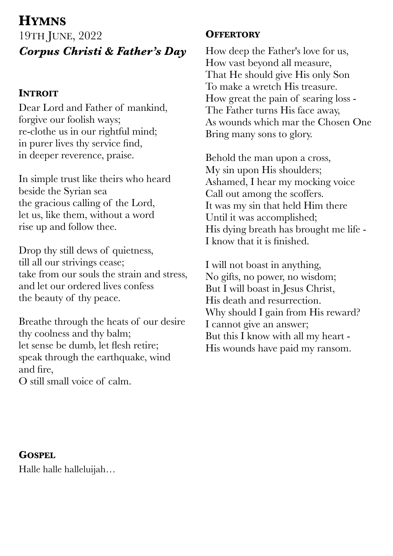# **HYMNS**

19TH JUNE, 2022 *Corpus Christi & Father's Day*

## **INTROIT**

Dear Lord and Father of mankind, forgive our foolish ways; re-clothe us in our rightful mind; in purer lives thy service find, in deeper reverence, praise.

In simple trust like theirs who heard beside the Syrian sea the gracious calling of the Lord, let us, like them, without a word rise up and follow thee.

Drop thy still dews of quietness, till all our strivings cease; take from our souls the strain and stress, and let our ordered lives confess the beauty of thy peace.

Breathe through the heats of our desire thy coolness and thy balm; let sense be dumb, let flesh retire; speak through the earthquake, wind and fire,

O still small voice of calm.

# **OFFERTORY**

How deep the Father's love for us, How vast beyond all measure, That He should give His only Son To make a wretch His treasure. How great the pain of searing loss - The Father turns His face away, As wounds which mar the Chosen One Bring many sons to glory.

Behold the man upon a cross, My sin upon His shoulders; Ashamed, I hear my mocking voice Call out among the scoffers. It was my sin that held Him there Until it was accomplished; His dying breath has brought me life - I know that it is finished.

I will not boast in anything, No gifts, no power, no wisdom; But I will boast in Jesus Christ, His death and resurrection. Why should I gain from His reward? I cannot give an answer; But this I know with all my heart - His wounds have paid my ransom.

## **GOSPEL**

Halle halle halleluijah…